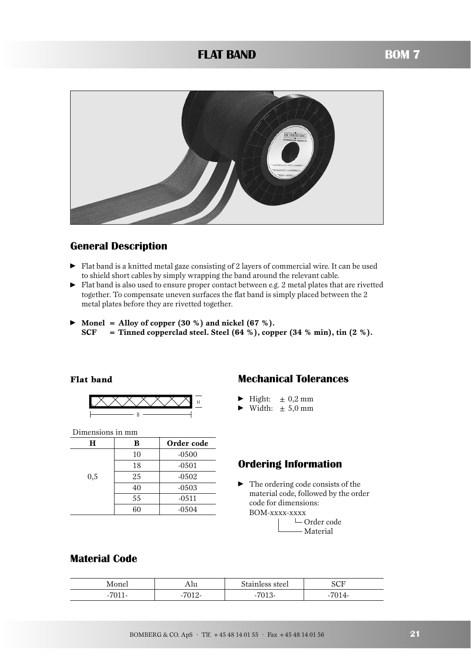## **FLAT BAND BOM 7**



## **General Description**

- Flat band is a knitted metal gaze consisting of 2 layers of commercial wire. It can be used to shield short cables by simply wrapping the band around the relevant cable.
- Flat band is also used to ensure proper contact between e.g. 2 metal plates that are rivetted together. To compensate uneven surfaces the flat band is simply placed between the 2 metal plates before they are rivetted together.
- **Monel = Alloy of copper (30 %) and nickel (67 %). SCF = Tinned copperclad steel. Steel (64 %), copper (34 % min), tin (2 %).**

### **Flat band**



Dimensions in mm

| н   | в  | Order code |
|-----|----|------------|
|     | 10 | $-0500$    |
|     | 18 | $-0501$    |
| 0,5 | 25 | $-0502$    |
|     | 40 | $-0503$    |
|     | 55 | $-0511$    |
|     | 60 | $-0504$    |

## **Mechanical Tolerances**

- $\blacktriangleright$  Hight:  $\pm 0.2$  mm
- $\blacktriangleright$  Width:  $\pm 5.0$  mm

## **Ordering Information**

• The ordering code consists of the material code, followed by the order code for dimensions: BOM-xxxx-xxxx

> $\Box$  Order code Material

## **Material Code**

| Monel                     | Au          | Stainless steel                | <b>SCF</b>       |
|---------------------------|-------------|--------------------------------|------------------|
| 7011<br>. .<br><b>UTT</b> | <b>7010</b> | $H \cap A$<br>-<br>. .<br>UT O | 701<br>J14-<br>- |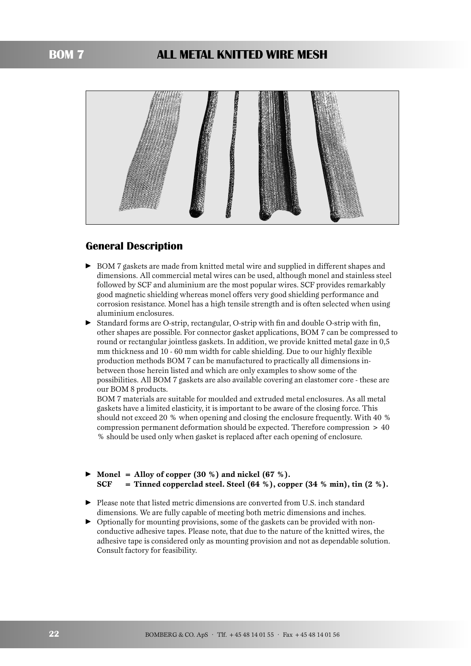## **BOM 7 ALL METAL KNITTED WIRE MESH**



## **General Description**

- BOM 7 gaskets are made from knitted metal wire and supplied in different shapes and dimensions. All commercial metal wires can be used, although monel and stainless steel followed by SCF and aluminium are the most popular wires. SCF provides remarkably good magnetic shielding whereas monel offers very good shielding performance and corrosion resistance. Monel has a high tensile strength and is often selected when using aluminium enclosures.
- Standard forms are O-strip, rectangular, O-strip with fin and double O-strip with fin, other shapes are possible. For connector gasket applications, BOM 7 can be compressed to round or rectangular jointless gaskets. In addition, we provide knitted metal gaze in 0,5 mm thickness and 10 - 60 mm width for cable shielding. Due to our highly flexible production methods BOM 7 can be manufactured to practically all dimensions inbetween those herein listed and which are only examples to show some of the possibilities. All BOM 7 gaskets are also available covering an elastomer core - these are our BOM 8 products.

BOM 7 materials are suitable for moulded and extruded metal enclosures. As all metal gaskets have a limited elasticity, it is important to be aware of the closing force. This should not exceed 20 % when opening and closing the enclosure frequently. With 40 % compression permanent deformation should be expected. Therefore compression > 40 % should be used only when gasket is replaced after each opening of enclosure.

## $\blacktriangleright$  Monel = Alloy of copper  $(30\%)$  and nickel  $(67\%)$ . **SCF = Tinned copperclad steel. Steel (64 %), copper (34 % min), tin (2 %).**

- Please note that listed metric dimensions are converted from U.S. inch standard dimensions. We are fully capable of meeting both metric dimensions and inches.
- Optionally for mounting provisions, some of the gaskets can be provided with nonconductive adhesive tapes. Please note, that due to the nature of the knitted wires, the adhesive tape is considered only as mounting provision and not as dependable solution. Consult factory for feasibility.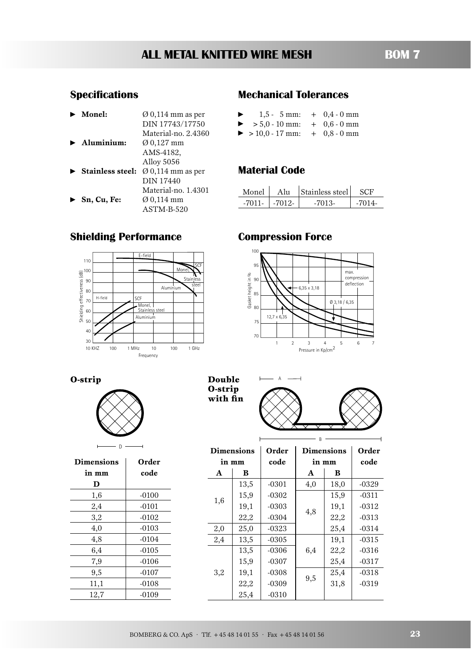# **ALL METAL KNITTED WIRE MESH BOM 7**

# **Specifications**

|   | Monel:                           | $\varnothing$ 0,114 mm as per |
|---|----------------------------------|-------------------------------|
|   |                                  | DIN 17743/17750               |
|   |                                  | Material-no. 2.4360           |
|   | $\blacktriangleright$ Aluminium: | $\varnothing$ 0,127 mm        |
|   |                                  | AMS-4182.                     |
|   |                                  | Alloy 5056                    |
| ▶ | <b>Stainless steel:</b>          | $\varnothing$ 0,114 mm as per |
|   |                                  | DIN 17440                     |
|   |                                  | Material-no. 1.4301           |
|   | Sn, Cu, Fe:                      | Ø 0,114 mm                    |
|   |                                  | ASTM-B-520                    |

## **Mechanical Tolerances**

| ▶ | $1.5 - 5$ mm:     | $+$ 0,4 - 0 mm |
|---|-------------------|----------------|
| ▶ | $> 5.0 - 10$ mm:  | $+$ 0.6 - 0 mm |
|   | $> 10,0 - 17$ mm: | $+$ 0,8 - 0 mm |

## **Material Code**

| Monel    | A111          | Stainless steel | - 57 F |
|----------|---------------|-----------------|--------|
| $-7011-$ | $\mid$ -7012- | -7013-          |        |

## **Shielding Performance**



## **Compression Force**





| <b>Dimensions</b> | Order   |
|-------------------|---------|
| in mm             | code    |
| D                 |         |
| 1,6               | $-0100$ |
| 2,4               | $-0101$ |
| 3,2               | $-0102$ |
| 4,0               | $-0103$ |
| 4,8               | $-0104$ |
| 6,4               | $-0105$ |
| 7,9               | $-0106$ |
| 9,5               | $-0107$ |
| 11,1              | $-0108$ |
| 12,7              | $-0109$ |

**O-strip Double**  $\qquad \qquad \overline{a}$  A **O-strip with fin**



| <b>Dimensions</b> |       | Order   | <b>Dimensions</b> | Order |          |
|-------------------|-------|---------|-------------------|-------|----------|
|                   | in mm | code    | in mm             |       | code     |
| A                 | в     |         | A                 | В     |          |
|                   | 13,5  | $-0301$ | 4,0               | 18,0  | $-0329$  |
| 1,6               | 15,9  | $-0302$ | 4,8               | 15,9  | $-0311$  |
|                   | 19,1  | $-0303$ |                   | 19,1  | $-0312$  |
|                   | 22,2  | $-0304$ |                   | 22,2  | $-0313$  |
| 2,0               | 25,0  | $-0323$ |                   | 25,4  | $-0314$  |
| 2,4               | 13,5  | $-0305$ |                   | 19,1  | $-0315$  |
|                   | 13,5  | $-0306$ | 6,4<br>9,5        | 22,2  | $-0.316$ |
|                   | 15,9  | $-0307$ |                   | 25,4  | $-0317$  |
| 3,2               | 19,1  | $-0308$ |                   | 25,4  | $-0318$  |
|                   | 22,2  | $-0309$ |                   | 31,8  | $-0319$  |
|                   | 25,4  | $-0310$ |                   |       |          |